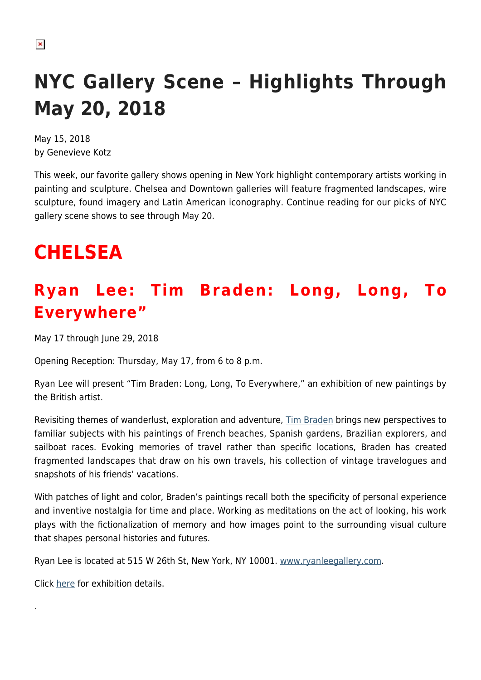# **NYC Gallery Scene – Highlights Through May 20, 2018**

May 15, 2018 by Genevieve Kotz

This week, our favorite gallery shows opening in New York highlight contemporary artists working in painting and sculpture. Chelsea and Downtown galleries will feature fragmented landscapes, wire sculpture, found imagery and Latin American iconography. Continue reading for our picks of NYC gallery scene shows to see through May 20.

# **CHELSEA**

### **Ryan Lee: Tim Braden: Long, Long, To Everywhere"**

May 17 through June 29, 2018

Opening Reception: Thursday, May 17, from 6 to 8 p.m.

Ryan Lee will present "Tim Braden: Long, Long, To Everywhere," an exhibition of new paintings by the British artist.

Revisiting themes of wanderlust, exploration and adventure, [Tim Braden](http://timbraden.co.uk/) brings new perspectives to familiar subjects with his paintings of French beaches, Spanish gardens, Brazilian explorers, and sailboat races. Evoking memories of travel rather than specific locations, Braden has created fragmented landscapes that draw on his own travels, his collection of vintage travelogues and snapshots of his friends' vacations.

With patches of light and color, Braden's paintings recall both the specificity of personal experience and inventive nostalgia for time and place. Working as meditations on the act of looking, his work plays with the fictionalization of memory and how images point to the surrounding visual culture that shapes personal histories and futures.

Ryan Lee is located at 515 W 26th St, New York, NY 10001. [www.ryanleegallery.com](https://ryanleegallery.com).

Click [here](https://ryanleegallery.com/exhibitions/tim-braden-long-long-to-everywhere/) for exhibition details.

.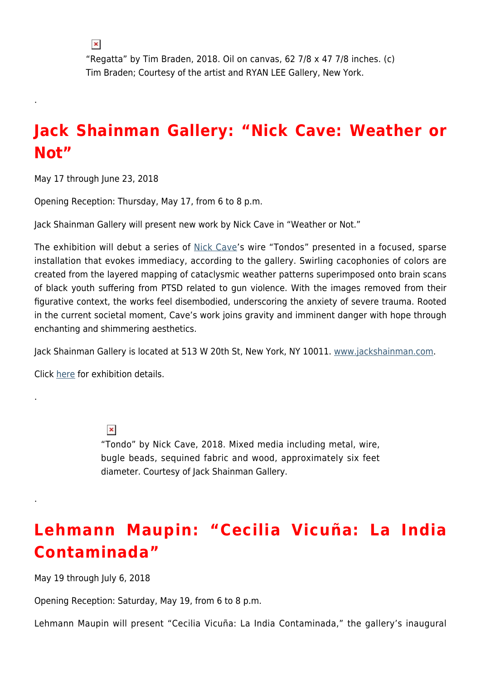$\pmb{\times}$ 

.

.

.

"Regatta" by Tim Braden, 2018. Oil on canvas, 62 7/8 x 47 7/8 inches. (c) Tim Braden; Courtesy of the artist and RYAN LEE Gallery, New York.

#### **Jack Shainman Gallery: "Nick Cave: Weather or Not"**

May 17 through June 23, 2018

Opening Reception: Thursday, May 17, from 6 to 8 p.m.

Jack Shainman Gallery will present new work by Nick Cave in "Weather or Not."

The exhibition will debut a series of [Nick Cave'](https://www.nickcave.com/)s wire "Tondos" presented in a focused, sparse installation that evokes immediacy, according to the gallery. Swirling cacophonies of colors are created from the layered mapping of cataclysmic weather patterns superimposed onto brain scans of black youth suffering from PTSD related to gun violence. With the images removed from their figurative context, the works feel disembodied, underscoring the anxiety of severe trauma. Rooted in the current societal moment, Cave's work joins gravity and imminent danger with hope through enchanting and shimmering aesthetics.

Jack Shainman Gallery is located at 513 W 20th St, New York, NY 10011. [www.jackshainman.com.](http://www.jackshainman.com)

Click [here](http://www.jackshainman.com/exhibitions/20th-street-22-2-2/) for exhibition details.

 $\pmb{\times}$ "Tondo" by Nick Cave, 2018. Mixed media including metal, wire, bugle beads, sequined fabric and wood, approximately six feet diameter. Courtesy of Jack Shainman Gallery.

#### **Lehmann Maupin: "Cecilia Vicuña: La India Contaminada"**

May 19 through July 6, 2018

Opening Reception: Saturday, May 19, from 6 to 8 p.m.

Lehmann Maupin will present "Cecilia Vicuña: La India Contaminada," the gallery's inaugural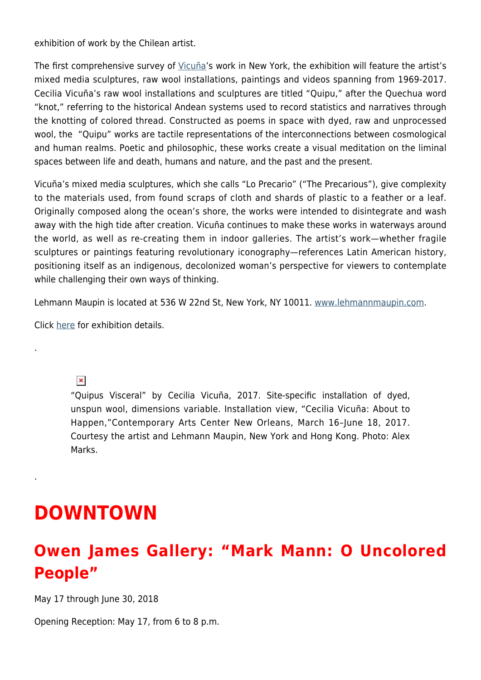exhibition of work by the Chilean artist.

The first comprehensive survey of [Vicuña](http://www.ceciliavicuna.com/)'s work in New York, the exhibition will feature the artist's mixed media sculptures, raw wool installations, paintings and videos spanning from 1969-2017. Cecilia Vicuña's raw wool installations and sculptures are titled "Quipu," after the Quechua word "knot," referring to the historical Andean systems used to record statistics and narratives through the knotting of colored thread. Constructed as poems in space with dyed, raw and unprocessed wool, the "Quipu" works are tactile representations of the interconnections between cosmological and human realms. Poetic and philosophic, these works create a visual meditation on the liminal spaces between life and death, humans and nature, and the past and the present.

Vicuña's mixed media sculptures, which she calls "Lo Precario" ("The Precarious"), give complexity to the materials used, from found scraps of cloth and shards of plastic to a feather or a leaf. Originally composed along the ocean's shore, the works were intended to disintegrate and wash away with the high tide after creation. Vicuña continues to make these works in waterways around the world, as well as re-creating them in indoor galleries. The artist's work—whether fragile sculptures or paintings featuring revolutionary iconography—references Latin American history, positioning itself as an indigenous, decolonized woman's perspective for viewers to contemplate while challenging their own ways of thinking.

Lehmann Maupin is located at 536 W 22nd St, New York, NY 10011. [www.lehmannmaupin.com.](http://www.lehmannmaupin.com)

Click [here](http://www.lehmannmaupin.com/exhibitions/2018-05-19_cecilia-vicuna#1) for exhibition details.

 $\pmb{\times}$ 

.

.

"Quipus Visceral" by Cecilia Vicuña, 2017. Site-specific installation of dyed, unspun wool, dimensions variable. Installation view, "Cecilia Vicuña: About to Happen,"Contemporary Arts Center New Orleans, March 16–June 18, 2017. Courtesy the artist and Lehmann Maupin, New York and Hong Kong. Photo: Alex Marks.

## **DOWNTOWN**

#### **Owen James Gallery: "Mark Mann: O Uncolored People"**

May 17 through June 30, 2018

Opening Reception: May 17, from 6 to 8 p.m.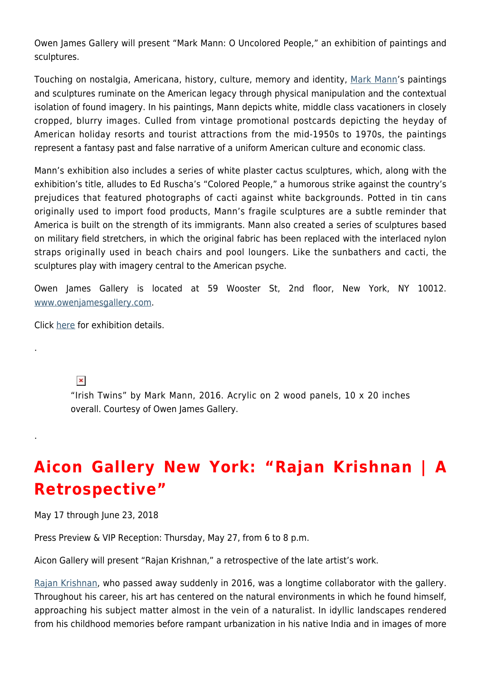Owen James Gallery will present "Mark Mann: O Uncolored People," an exhibition of paintings and sculptures.

Touching on nostalgia, Americana, history, culture, memory and identity, [Mark Mann](https://www.markmannphoto.com/)'s paintings and sculptures ruminate on the American legacy through physical manipulation and the contextual isolation of found imagery. In his paintings, Mann depicts white, middle class vacationers in closely cropped, blurry images. Culled from vintage promotional postcards depicting the heyday of American holiday resorts and tourist attractions from the mid-1950s to 1970s, the paintings represent a fantasy past and false narrative of a uniform American culture and economic class.

Mann's exhibition also includes a series of white plaster cactus sculptures, which, along with the exhibition's title, alludes to Ed Ruscha's "Colored People," a humorous strike against the country's prejudices that featured photographs of cacti against white backgrounds. Potted in tin cans originally used to import food products, Mann's fragile sculptures are a subtle reminder that America is built on the strength of its immigrants. Mann also created a series of sculptures based on military field stretchers, in which the original fabric has been replaced with the interlaced nylon straps originally used in beach chairs and pool loungers. Like the sunbathers and cacti, the sculptures play with imagery central to the American psyche.

Owen James Gallery is located at 59 Wooster St, 2nd floor, New York, NY 10012. [www.owenjamesgallery.com.](http://www.owenjamesgallery.com)

Click [here](http://www.owenjamesgallery.com/exhibitions) for exhibition details.

#### $\pmb{\times}$

.

.

"Irish Twins" by Mark Mann, 2016. Acrylic on 2 wood panels, 10 x 20 inches overall. Courtesy of Owen James Gallery.

#### **Aicon Gallery New York: "Rajan Krishnan | A Retrospective"**

May 17 through June 23, 2018

Press Preview & VIP Reception: Thursday, May 27, from 6 to 8 p.m.

Aicon Gallery will present "Rajan Krishnan," a retrospective of the late artist's work.

[Rajan Krishnan](https://www.artsy.net/artist/rajan-krishnan), who passed away suddenly in 2016, was a longtime collaborator with the gallery. Throughout his career, his art has centered on the natural environments in which he found himself, approaching his subject matter almost in the vein of a naturalist. In idyllic landscapes rendered from his childhood memories before rampant urbanization in his native India and in images of more